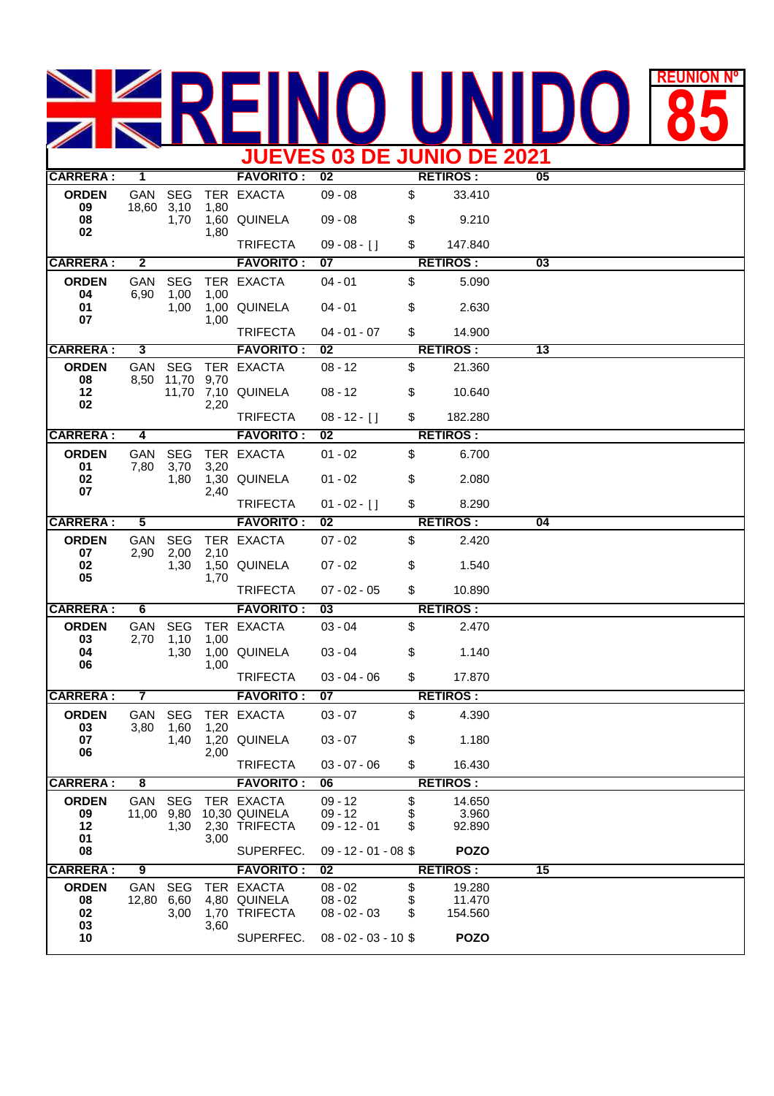## REUNION **85 JUEVES 03 DE JUNIO DE 2021**

| <b>CARRERA:</b>                | 1                       |                            |              | <b>FAVORITO:</b>                             | 02                                       |                | <b>RETIROS:</b>             | 05              |  |
|--------------------------------|-------------------------|----------------------------|--------------|----------------------------------------------|------------------------------------------|----------------|-----------------------------|-----------------|--|
| <b>ORDEN</b><br>09             | GAN<br>18,60            | <b>SEG</b><br>3,10<br>1,70 | 1,80<br>1,80 | TER EXACTA                                   | $09 - 08$                                | \$             | 33.410                      |                 |  |
| 08<br>02                       |                         |                            |              | 1,60 QUINELA                                 | $09 - 08$                                | \$             | 9.210                       |                 |  |
|                                |                         |                            |              | <b>TRIFECTA</b>                              | $09 - 08 - 1$                            | \$             | 147.840                     |                 |  |
| <b>CARRERA:</b>                | $\overline{\mathbf{2}}$ |                            |              | <b>FAVORITO:</b>                             | 07                                       |                | <b>RETIROS:</b>             | 03              |  |
| <b>ORDEN</b><br>04             | GAN<br>6,90             | <b>SEG</b><br>1,00         | 1,00         | TER EXACTA                                   | $04 - 01$                                | \$             | 5.090                       |                 |  |
| 01<br>07                       |                         | 1,00                       | 1,00         | 1,00 QUINELA                                 | $04 - 01$                                | \$             | 2.630                       |                 |  |
|                                |                         |                            |              | <b>TRIFECTA</b>                              | $04 - 01 - 07$                           | \$             | 14.900                      |                 |  |
| <b>CARRERA:</b>                | 3                       |                            |              | <b>FAVORITO:</b>                             | 02                                       |                | <b>RETIROS:</b>             | $\overline{13}$ |  |
| <b>ORDEN</b><br>08             | GAN<br>8,50             | <b>SEG</b><br>11,70        | 9,70         | TER EXACTA                                   | $08 - 12$                                | \$             | 21.360                      |                 |  |
| 12<br>02                       |                         |                            | 2,20         | 11,70 7,10 QUINELA                           | $08 - 12$                                | \$             | 10.640                      |                 |  |
|                                |                         |                            |              | <b>TRIFECTA</b>                              | $08 - 12 - [$ ]                          | \$             | 182.280                     |                 |  |
| <b>CARRERA:</b>                | 4                       |                            |              | <b>FAVORITO:</b>                             | 02                                       |                | <b>RETIROS:</b>             |                 |  |
| <b>ORDEN</b><br>01             | GAN<br>7,80             | <b>SEG</b><br>3,70         | 3,20         | TER EXACTA                                   | $01 - 02$                                | \$             | 6.700                       |                 |  |
| 02<br>07                       |                         | 1,80                       | 2,40         | 1,30 QUINELA                                 | $01 - 02$                                | \$             | 2.080                       |                 |  |
|                                |                         |                            |              | <b>TRIFECTA</b>                              | $01 - 02 - [$ ]                          | \$             | 8.290                       |                 |  |
| <b>CARRERA:</b>                | 5                       |                            |              | <b>FAVORITO:</b>                             | 02                                       |                | <b>RETIROS:</b>             | 04              |  |
| <b>ORDEN</b><br>07             | GAN<br>2,90             | <b>SEG</b><br>2,00         | 2,10         | TER EXACTA                                   | $07 - 02$                                | \$             | 2.420                       |                 |  |
| 02<br>05                       |                         | 1,30                       | 1,70         | 1,50 QUINELA                                 | $07 - 02$                                | \$             | 1.540                       |                 |  |
|                                |                         |                            |              | <b>TRIFECTA</b>                              | $07 - 02 - 05$                           | \$             | 10.890                      |                 |  |
| <b>CARRERA:</b>                | 6                       |                            |              | <b>FAVORITO:</b>                             | 03                                       |                | <b>RETIROS:</b>             |                 |  |
| <b>ORDEN</b><br>03             | GAN<br>2,70             | <b>SEG</b><br>1,10         | 1,00         | TER EXACTA                                   | $03 - 04$                                | \$             | 2.470                       |                 |  |
| 04<br>06                       |                         | 1,30                       | 1,00         | 1,00 QUINELA                                 | $03 - 04$                                | \$             | 1.140                       |                 |  |
|                                |                         |                            |              | <b>TRIFECTA</b>                              | $03 - 04 - 06$                           | \$             | 17.870                      |                 |  |
| <b>CARRERA:</b>                | 7                       |                            |              | <b>FAVORITO:</b>                             | 07                                       |                | <b>RETIROS:</b>             |                 |  |
| <b>ORDEN</b><br>03             | GAN<br>3,80             | <b>SEG</b><br>1,60         | 1,20         | TER EXACTA                                   | $03 - 07$                                | \$             | 4.390                       |                 |  |
| 07<br>06                       |                         | 1,40                       | 2,00         | 1,20 QUINELA                                 | $03 - 07$                                | \$             | 1.180                       |                 |  |
|                                |                         |                            |              | <b>TRIFECTA</b>                              | $03 - 07 - 06$                           | \$             | 16.430                      |                 |  |
| <b>CARRERA:</b>                | $\overline{\mathbf{8}}$ |                            |              | <b>FAVORITO:</b>                             | 06                                       |                | <b>RETIROS:</b>             |                 |  |
| <b>ORDEN</b><br>09<br>12<br>01 | GAN<br>11,00 9,80       | <b>SEG</b><br>1,30         | 3,00         | TER EXACTA<br>10,30 QUINELA<br>2,30 TRIFECTA | $09 - 12$<br>$09 - 12$<br>$09 - 12 - 01$ | \$<br>\$<br>\$ | 14.650<br>3.960<br>92.890   |                 |  |
| 08                             |                         |                            |              | SUPERFEC.                                    | $09 - 12 - 01 - 08$ \$                   |                | <b>POZO</b>                 |                 |  |
| <b>CARRERA:</b>                | 9                       |                            |              | <b>FAVORITO:</b>                             | 02                                       |                | <b>RETIROS:</b>             | 15              |  |
| <b>ORDEN</b><br>08<br>02       | GAN<br>12,80 6,60       | <b>SEG</b><br>3,00         |              | TER EXACTA<br>4,80 QUINELA<br>1,70 TRIFECTA  | $08 - 02$<br>$08 - 02$<br>$08 - 02 - 03$ | \$<br>\$<br>\$ | 19.280<br>11.470<br>154.560 |                 |  |
| 03<br>10                       |                         |                            | 3,60         | SUPERFEC.                                    | $08 - 02 - 03 - 10$ \$                   |                | <b>POZO</b>                 |                 |  |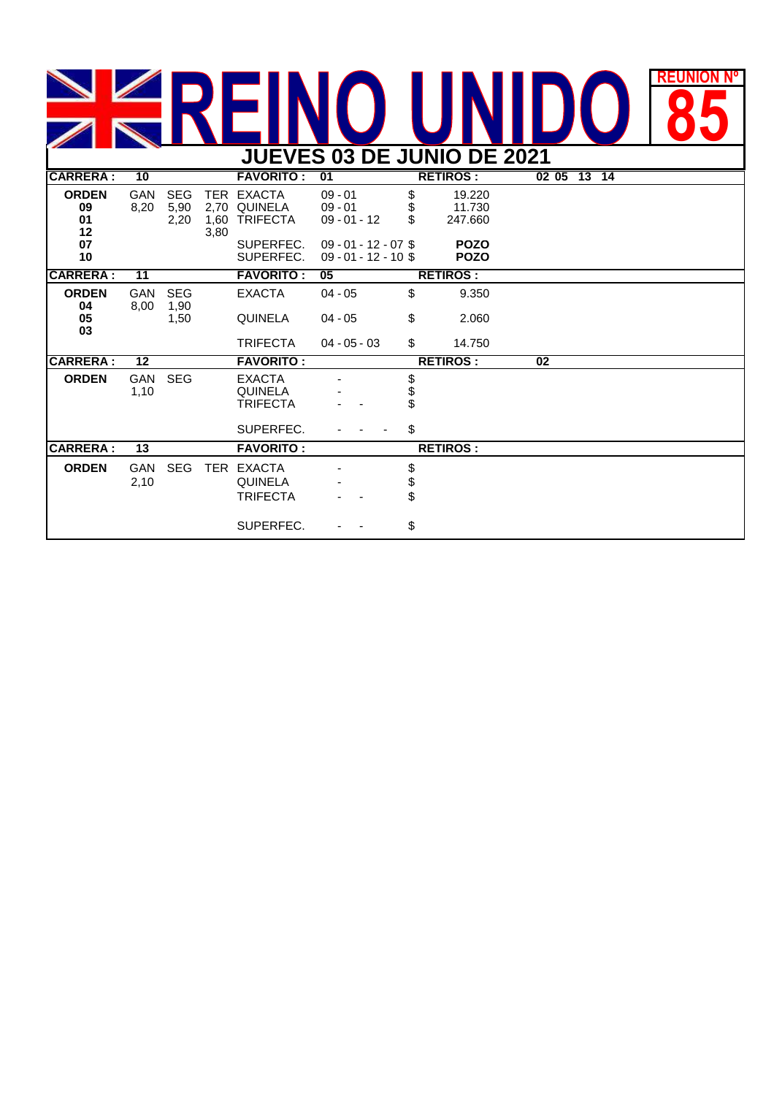## EUNION N **JUEVES 03 DE JUNIO DE 2021 REUNIÓN Nº**

| JUEVES US DE JUNIU DE ZUZ I    |                 |                            |              |                                                              |                                                  |                      |                             |             |  |  |  |  |
|--------------------------------|-----------------|----------------------------|--------------|--------------------------------------------------------------|--------------------------------------------------|----------------------|-----------------------------|-------------|--|--|--|--|
| <b>CARRERA:</b>                | 10              |                            |              | <b>FAVORITO :</b>                                            | 01                                               | <b>RETIROS:</b>      |                             | 02 05 13 14 |  |  |  |  |
| <b>ORDEN</b><br>09<br>01<br>12 | GAN<br>8,20     | <b>SEG</b><br>5,90<br>2,20 | 1,60<br>3,80 | TER EXACTA<br>2,70 QUINELA<br><b>TRIFECTA</b>                | $09 - 01$<br>$09 - 01$<br>$09 - 01 - 12$         | \$<br>\$<br>\$       | 19.220<br>11.730<br>247.660 |             |  |  |  |  |
| 07<br>10                       |                 |                            |              | SUPERFEC.<br>SUPERFEC.                                       | $09 - 01 - 12 - 07$ \$<br>$09 - 01 - 12 - 10$ \$ |                      | <b>POZO</b><br><b>POZO</b>  |             |  |  |  |  |
| <b>CARRERA:</b>                | $\overline{11}$ |                            |              | <b>FAVORITO:</b>                                             | 05                                               |                      | <b>RETIROS:</b>             |             |  |  |  |  |
| <b>ORDEN</b><br>04             | GAN<br>8,00     | <b>SEG</b><br>1,90         |              | <b>EXACTA</b>                                                | $04 - 05$                                        | \$                   | 9.350                       |             |  |  |  |  |
| 05<br>03                       |                 | 1,50                       |              | <b>QUINELA</b>                                               | $04 - 05$                                        | \$                   | 2.060                       |             |  |  |  |  |
|                                |                 |                            |              | <b>TRIFECTA</b>                                              | $04 - 05 - 03$                                   | \$                   | 14.750                      |             |  |  |  |  |
| <b>CARRERA:</b>                | 12              | <b>FAVORITO:</b>           |              |                                                              |                                                  |                      | <b>RETIROS:</b>             | 02          |  |  |  |  |
| <b>ORDEN</b>                   | GAN<br>1,10     | <b>SEG</b>                 |              | <b>EXACTA</b><br><b>QUINELA</b><br><b>TRIFECTA</b>           |                                                  | \$<br>Տ              |                             |             |  |  |  |  |
|                                |                 |                            |              | SUPERFEC.                                                    |                                                  | \$                   |                             |             |  |  |  |  |
| <b>CARRERA:</b>                | 13              | <b>FAVORITO:</b>           |              |                                                              |                                                  |                      | <b>RETIROS:</b>             |             |  |  |  |  |
| <b>ORDEN</b>                   | GAN<br>2,10     | <b>SEG</b>                 |              | TER EXACTA<br><b>QUINELA</b><br><b>TRIFECTA</b><br>SUPERFEC. |                                                  | \$<br>\$<br>\$<br>\$ |                             |             |  |  |  |  |
|                                |                 |                            |              |                                                              |                                                  |                      |                             |             |  |  |  |  |